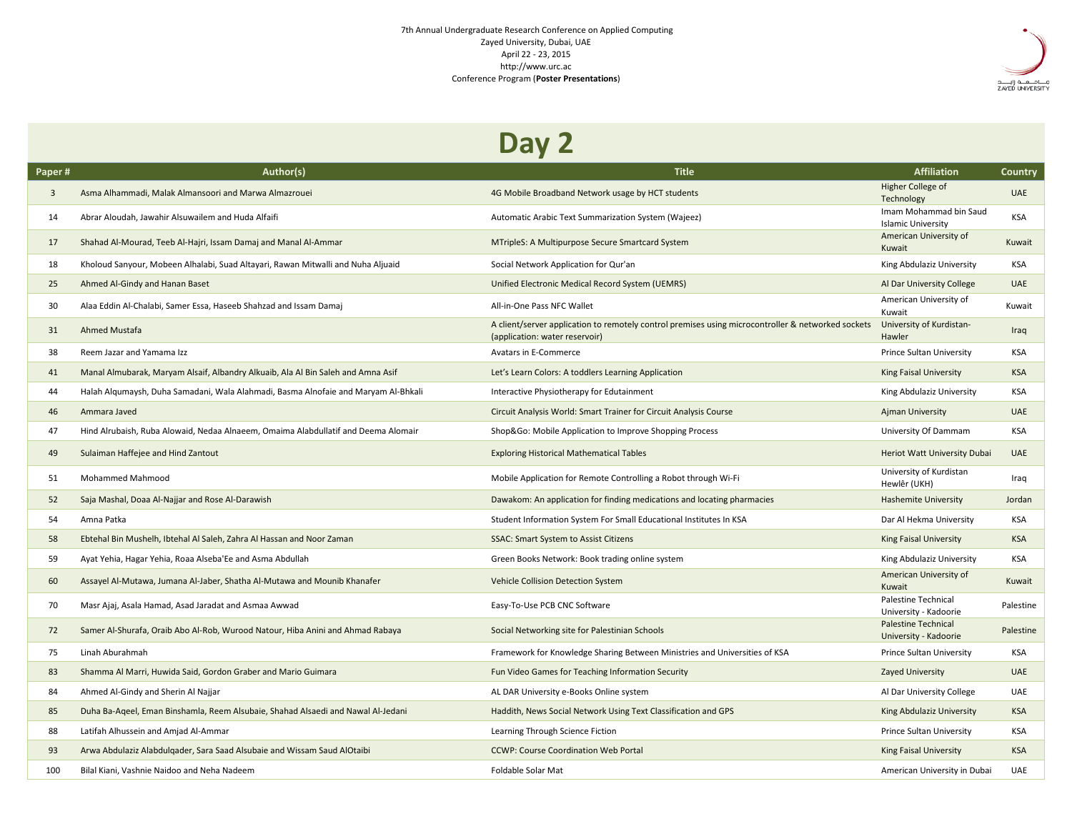## 7th Annual Undergraduate Research Conference on Applied Computing Zayed University, Dubai, UAE April 22 - 23, 2015 http://www.urc.ac Conference Program (**Poster Presentations**)



## **Day 2**

| Paper# | Author(s)                                                                          | <b>Title</b>                                                                                                                         | <b>Affiliation</b>                                  | Country    |
|--------|------------------------------------------------------------------------------------|--------------------------------------------------------------------------------------------------------------------------------------|-----------------------------------------------------|------------|
| 3      | Asma Alhammadi, Malak Almansoori and Marwa Almazrouei                              | 4G Mobile Broadband Network usage by HCT students                                                                                    | Higher College of<br>Technology                     | <b>UAE</b> |
| 14     | Abrar Aloudah, Jawahir Alsuwailem and Huda Alfaifi                                 | Automatic Arabic Text Summarization System (Wajeez)                                                                                  | Imam Mohammad bin Saud<br><b>Islamic University</b> | <b>KSA</b> |
| 17     | Shahad Al-Mourad, Teeb Al-Hajri, Issam Damaj and Manal Al-Ammar                    | MTripleS: A Multipurpose Secure Smartcard System                                                                                     | American University of<br>Kuwait                    | Kuwait     |
| 18     | Kholoud Sanyour, Mobeen Alhalabi, Suad Altayari, Rawan Mitwalli and Nuha Aljuaid   | Social Network Application for Qur'an                                                                                                | King Abdulaziz University                           | <b>KSA</b> |
| 25     | Ahmed Al-Gindy and Hanan Baset                                                     | Unified Electronic Medical Record System (UEMRS)                                                                                     | Al Dar University College                           | <b>UAE</b> |
| 30     | Alaa Eddin Al-Chalabi, Samer Essa, Haseeb Shahzad and Issam Damaj                  | All-in-One Pass NFC Wallet                                                                                                           | American University of<br>Kuwait                    | Kuwait     |
| 31     | Ahmed Mustafa                                                                      | A client/server application to remotely control premises using microcontroller & networked sockets<br>(application: water reservoir) | University of Kurdistan-<br>Hawler                  | Iraq       |
| 38     | Reem Jazar and Yamama Izz                                                          | Avatars in E-Commerce                                                                                                                | Prince Sultan University                            | <b>KSA</b> |
| 41     | Manal Almubarak, Maryam Alsaif, Albandry Alkuaib, Ala Al Bin Saleh and Amna Asif   | Let's Learn Colors: A toddlers Learning Application                                                                                  | <b>King Faisal University</b>                       | <b>KSA</b> |
| 44     | Halah Algumaysh, Duha Samadani, Wala Alahmadi, Basma Alnofaie and Maryam Al-Bhkali | Interactive Physiotherapy for Edutainment                                                                                            | King Abdulaziz University                           | <b>KSA</b> |
| 46     | Ammara Javed                                                                       | Circuit Analysis World: Smart Trainer for Circuit Analysis Course                                                                    | <b>Ajman University</b>                             | <b>UAE</b> |
| 47     | Hind Alrubaish, Ruba Alowaid, Nedaa Alnaeem, Omaima Alabdullatif and Deema Alomair | Shop&Go: Mobile Application to Improve Shopping Process                                                                              | University Of Dammam                                | <b>KSA</b> |
| 49     | Sulaiman Haffejee and Hind Zantout                                                 | <b>Exploring Historical Mathematical Tables</b>                                                                                      | Heriot Watt University Dubai                        | <b>UAE</b> |
| 51     | Mohammed Mahmood                                                                   | Mobile Application for Remote Controlling a Robot through Wi-Fi                                                                      | University of Kurdistan<br>Hewlêr (UKH)             | Iraq       |
| 52     | Saja Mashal, Doaa Al-Najjar and Rose Al-Darawish                                   | Dawakom: An application for finding medications and locating pharmacies                                                              | <b>Hashemite University</b>                         | Jordan     |
| 54     | Amna Patka                                                                         | Student Information System For Small Educational Institutes In KSA                                                                   | Dar Al Hekma University                             | KSA        |
| 58     | Ebtehal Bin Mushelh, Ibtehal Al Saleh, Zahra Al Hassan and Noor Zaman              | <b>SSAC: Smart System to Assist Citizens</b>                                                                                         | <b>King Faisal University</b>                       | <b>KSA</b> |
| 59     | Ayat Yehia, Hagar Yehia, Roaa Alseba'Ee and Asma Abdullah                          | Green Books Network: Book trading online system                                                                                      | King Abdulaziz University                           | KSA        |
| 60     | Assayel Al-Mutawa, Jumana Al-Jaber, Shatha Al-Mutawa and Mounib Khanafer           | Vehicle Collision Detection System                                                                                                   | American University of<br>Kuwait                    | Kuwait     |
| 70     | Masr Ajaj, Asala Hamad, Asad Jaradat and Asmaa Awwad                               | Easy-To-Use PCB CNC Software                                                                                                         | Palestine Technical<br>University - Kadoorie        | Palestine  |
| 72     | Samer Al-Shurafa, Oraib Abo Al-Rob, Wurood Natour, Hiba Anini and Ahmad Rabaya     | Social Networking site for Palestinian Schools                                                                                       | <b>Palestine Technical</b><br>University - Kadoorie | Palestine  |
| 75     | Linah Aburahmah                                                                    | Framework for Knowledge Sharing Between Ministries and Universities of KSA                                                           | Prince Sultan University                            | <b>KSA</b> |
| 83     | Shamma Al Marri, Huwida Said, Gordon Graber and Mario Guimara                      | Fun Video Games for Teaching Information Security                                                                                    | Zayed University                                    | <b>UAE</b> |
| 84     | Ahmed Al-Gindy and Sherin Al Najjar                                                | AL DAR University e-Books Online system                                                                                              | Al Dar University College                           | <b>UAE</b> |
| 85     | Duha Ba-Ageel, Eman Binshamla, Reem Alsubaie, Shahad Alsaedi and Nawal Al-Jedani   | Haddith, News Social Network Using Text Classification and GPS                                                                       | King Abdulaziz University                           | <b>KSA</b> |
| 88     | Latifah Alhussein and Amjad Al-Ammar                                               | Learning Through Science Fiction                                                                                                     | Prince Sultan University                            | KSA        |
| 93     | Arwa Abdulaziz Alabdulgader, Sara Saad Alsubaie and Wissam Saud AlOtaibi           | <b>CCWP: Course Coordination Web Portal</b>                                                                                          | King Faisal University                              | <b>KSA</b> |
| 100    | Bilal Kiani, Vashnie Naidoo and Neha Nadeem                                        | Foldable Solar Mat                                                                                                                   | American University in Dubai                        | <b>UAE</b> |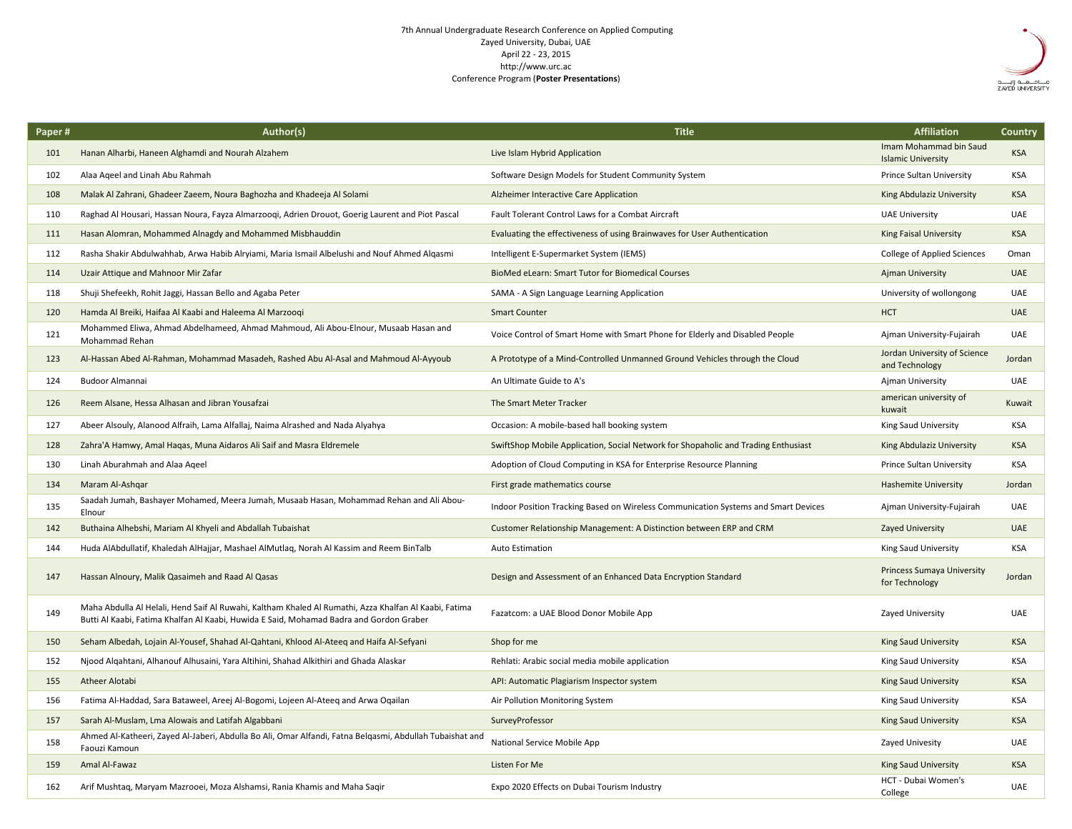## 7th Annual Undergraduate Research Conference on Applied Computing Zayed University, Dubai, UAE April 22 - 23, 2015 http://www.urc.ac Conference Program (**Poster Presentations**)



| Paper# | Author(s)                                                                                                                                                                                        | <b>Title</b>                                                                       | <b>Affiliation</b>                                  | Country    |
|--------|--------------------------------------------------------------------------------------------------------------------------------------------------------------------------------------------------|------------------------------------------------------------------------------------|-----------------------------------------------------|------------|
| 101    | Hanan Alharbi, Haneen Alghamdi and Nourah Alzahem                                                                                                                                                | Live Islam Hybrid Application                                                      | Imam Mohammad bin Saud<br><b>Islamic University</b> | <b>KSA</b> |
| 102    | Alaa Ageel and Linah Abu Rahmah                                                                                                                                                                  | Software Design Models for Student Community System                                | Prince Sultan University                            | <b>KSA</b> |
| 108    | Malak Al Zahrani, Ghadeer Zaeem, Noura Baghozha and Khadeeja Al Solami                                                                                                                           | Alzheimer Interactive Care Application                                             | King Abdulaziz University                           | <b>KSA</b> |
| 110    | Raghad Al Housari, Hassan Noura, Fayza Almarzoogi, Adrien Drouot, Goerig Laurent and Piot Pascal                                                                                                 | Fault Tolerant Control Laws for a Combat Aircraft                                  | <b>UAE University</b>                               | <b>UAE</b> |
| 111    | Hasan Alomran, Mohammed Alnagdy and Mohammed Misbhauddin                                                                                                                                         | Evaluating the effectiveness of using Brainwaves for User Authentication           | <b>King Faisal University</b>                       | <b>KSA</b> |
| 112    | Rasha Shakir Abdulwahhab, Arwa Habib Alryiami, Maria Ismail Albelushi and Nouf Ahmed Algasmi                                                                                                     | Intelligent E-Supermarket System (IEMS)                                            | College of Applied Sciences                         | Oman       |
| 114    | Uzair Attique and Mahnoor Mir Zafar                                                                                                                                                              | BioMed eLearn: Smart Tutor for Biomedical Courses                                  | <b>Ajman University</b>                             | <b>UAE</b> |
| 118    | Shuji Shefeekh, Rohit Jaggi, Hassan Bello and Agaba Peter                                                                                                                                        | SAMA - A Sign Language Learning Application                                        | University of wollongong                            | <b>UAE</b> |
| 120    | Hamda Al Breiki, Haifaa Al Kaabi and Haleema Al Marzooqi                                                                                                                                         | <b>Smart Counter</b>                                                               | <b>HCT</b>                                          | <b>UAE</b> |
| 121    | Mohammed Eliwa, Ahmad Abdelhameed, Ahmad Mahmoud, Ali Abou-Elnour, Musaab Hasan and<br>Mohammad Rehan                                                                                            | Voice Control of Smart Home with Smart Phone for Elderly and Disabled People       | Ajman University-Fujairah                           | UAE        |
| 123    | Al-Hassan Abed Al-Rahman, Mohammad Masadeh, Rashed Abu Al-Asal and Mahmoud Al-Ayyoub                                                                                                             | A Prototype of a Mind-Controlled Unmanned Ground Vehicles through the Cloud        | Jordan University of Science<br>and Technology      | Jordan     |
| 124    | <b>Budoor Almannai</b>                                                                                                                                                                           | An Ultimate Guide to A's                                                           | Ajman University                                    | <b>UAE</b> |
| 126    | Reem Alsane, Hessa Alhasan and Jibran Yousafzai                                                                                                                                                  | The Smart Meter Tracker                                                            | american university of<br>kuwait                    | Kuwait     |
| 127    | Abeer Alsouly, Alanood Alfraih, Lama Alfallaj, Naima Alrashed and Nada Alyahya                                                                                                                   | Occasion: A mobile-based hall booking system                                       | King Saud University                                | <b>KSA</b> |
| 128    | Zahra'A Hamwy, Amal Haqas, Muna Aidaros Ali Saif and Masra Eldremele                                                                                                                             | SwiftShop Mobile Application, Social Network for Shopaholic and Trading Enthusiast | King Abdulaziz University                           | <b>KSA</b> |
| 130    | Linah Aburahmah and Alaa Aqeel                                                                                                                                                                   | Adoption of Cloud Computing in KSA for Enterprise Resource Planning                | Prince Sultan University                            | <b>KSA</b> |
| 134    | Maram Al-Ashqar                                                                                                                                                                                  | First grade mathematics course                                                     | <b>Hashemite University</b>                         | Jordan     |
| 135    | Saadah Jumah, Bashayer Mohamed, Meera Jumah, Musaab Hasan, Mohammad Rehan and Ali Abou-<br>Elnour                                                                                                | Indoor Position Tracking Based on Wireless Communication Systems and Smart Devices | Ajman University-Fujairah                           | <b>UAE</b> |
| 142    | Buthaina Alhebshi, Mariam Al Khyeli and Abdallah Tubaishat                                                                                                                                       | Customer Relationship Management: A Distinction between ERP and CRM                | <b>Zayed University</b>                             | <b>UAE</b> |
| 144    | Huda AlAbdullatif, Khaledah AlHajjar, Mashael AlMutlag, Norah Al Kassim and Reem BinTalb                                                                                                         | <b>Auto Estimation</b>                                                             | King Saud University                                | <b>KSA</b> |
| 147    | Hassan Alnoury, Malik Qasaimeh and Raad Al Qasas                                                                                                                                                 | Design and Assessment of an Enhanced Data Encryption Standard                      | <b>Princess Sumaya University</b><br>for Technology | Jordan     |
| 149    | Maha Abdulla Al Helali, Hend Saif Al Ruwahi, Kaltham Khaled Al Rumathi, Azza Khalfan Al Kaabi, Fatima<br>Butti Al Kaabi, Fatima Khalfan Al Kaabi, Huwida E Said, Mohamad Badra and Gordon Graber | Fazatcom: a UAE Blood Donor Mobile App                                             | Zayed University                                    | UAE        |
| 150    | Seham Albedah, Lojain Al-Yousef, Shahad Al-Qahtani, Khlood Al-Ateeq and Haifa Al-Sefyani                                                                                                         | Shop for me                                                                        | King Saud University                                | <b>KSA</b> |
| 152    | Njood Algahtani, Alhanouf Alhusaini, Yara Altihini, Shahad Alkithiri and Ghada Alaskar                                                                                                           | Rehlati: Arabic social media mobile application                                    | King Saud University                                | <b>KSA</b> |
| 155    | <b>Atheer Alotabi</b>                                                                                                                                                                            | API: Automatic Plagiarism Inspector system                                         | King Saud University                                | <b>KSA</b> |
| 156    | Fatima Al-Haddad, Sara Bataweel, Areej Al-Bogomi, Lojeen Al-Ateeq and Arwa Oqailan                                                                                                               | Air Pollution Monitoring System                                                    | King Saud University                                | <b>KSA</b> |
| 157    | Sarah Al-Muslam, Lma Alowais and Latifah Algabbani                                                                                                                                               | SurveyProfessor                                                                    | King Saud University                                | <b>KSA</b> |
| 158    | Ahmed Al-Katheeri, Zayed Al-Jaberi, Abdulla Bo Ali, Omar Alfandi, Fatna Belgasmi, Abdullah Tubaishat and<br>Faouzi Kamoun                                                                        | National Service Mobile App                                                        | Zayed Univesity                                     | UAE        |
| 159    | Amal Al-Fawaz                                                                                                                                                                                    | Listen For Me                                                                      | King Saud University                                | <b>KSA</b> |
| 162    | Arif Mushtaq, Maryam Mazrooei, Moza Alshamsi, Rania Khamis and Maha Saqir                                                                                                                        | Expo 2020 Effects on Dubai Tourism Industry                                        | HCT - Dubai Women's<br>College                      | <b>UAE</b> |